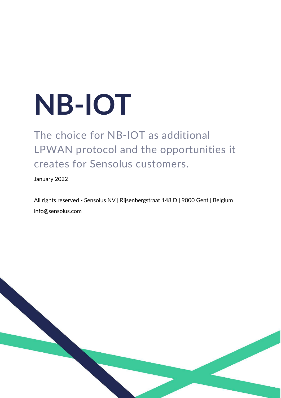# **NB-IOT**

## The choice for NB-IOT as additional LPWAN protocol and the opportunities it creates for Sensolus customers.

January 2022

All rights reserved - Sensolus NV | Rijsenbergstraat 148 D | 9000 Gent | Belgium info@sensolus.com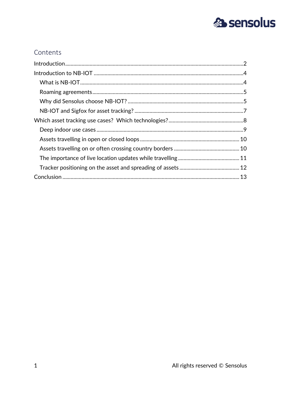

#### Contents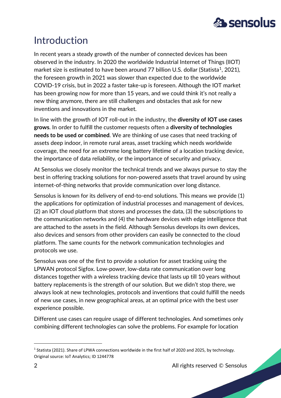

### <span id="page-2-0"></span>**Introduction**

In recent years a steady growth of the number of connected devices has been observed in the industry. In 2020 the worldwide Industrial Internet of Things (IIOT) market size is estimated to have been around 77 billion U.S. dollar (Statista<sup>[1](#page-2-1)</sup>, 2021), the foreseen growth in 2021 was slower than expected due to the worldwide COVID-19 crisis, but in 2022 a faster take-up is foreseen. Although the IOT market has been growing now for more than 15 years, and we could think it's not really a new thing anymore, there are still challenges and obstacles that ask for new inventions and innovations in the market.

In line with the growth of IOT roll-out in the industry, the **diversity of IOT use cases grows**. In order to fulfill the customer requests often a **diversity of technologies needs to be used or combined**. We are thinking of use cases that need tracking of assets deep indoor, in remote rural areas, asset tracking which needs worldwide coverage, the need for an extreme long battery lifetime of a location tracking device, the importance of data reliability, or the importance of security and privacy.

At Sensolus we closely monitor the technical trends and we always pursue to stay the best in offering tracking solutions for non-powered assets that travel around by using internet-of-thing networks that provide communication over long distance.

Sensolus is known for its delivery of end-to-end solutions. This means we provide (1) the applications for optimization of industrial processes and management of devices, (2) an IOT cloud platform that stores and processes the data, (3) the subscriptions to the communication networks and (4) the hardware devices with edge intelligence that are attached to the assets in the field. Although Sensolus develops its own devices, also devices and sensors from other providers can easily be connected to the cloud platform. The same counts for the network communication technologies and protocols we use.

Sensolus was one of the first to provide a solution for asset tracking using the LPWAN protocol Sigfox. Low-power, low-data rate communication over long distances together with a wireless tracking device that lasts up till 10 years without battery replacements is the strength of our solution. But we didn't stop there, we always look at new technologies, protocols and inventions that could fulfill the needs of new use cases, in new geographical areas, at an optimal price with the best user experience possible.

Different use cases can require usage of different technologies. And sometimes only combining different technologies can solve the problems. For example for location

<span id="page-2-1"></span><sup>1</sup> Statista (2021). Share of LPWA connections worldwide in the first half of 2020 and 2025, by technology. Original source: IoT Analytics; ID 1244778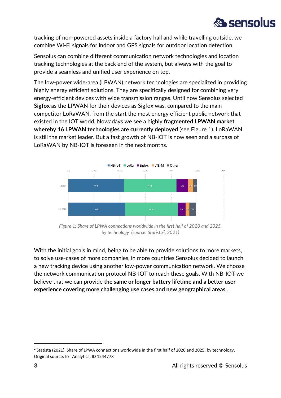

tracking of non-powered assets inside a factory hall and while travelling outside, we combine Wi-Fi signals for indoor and GPS signals for outdoor location detection.

Sensolus can combine different communication network technologies and location tracking technologies at the back end of the system, but always with the goal to provide a seamless and unified user experience on top.

The low-power wide-area (LPWAN) network technologies are specialized in providing highly energy efficient solutions. They are specifically designed for combining very energy-efficient devices with wide transmission ranges. Until now Sensolus selected **Sigfox** as the LPWAN for their devices as Sigfox was, compared to the main competitor LoRaWAN, from the start the most energy efficient public network that existed in the IOT world. Nowadays we see a highly **fragmented LPWAN market whereby 16 LPWAN technologies are currently deployed** (see Figure 1). LoRaWAN is still the market leader. But a fast growth of NB-IOT is now seen and a surpass of LoRaWAN by NB-IOT is foreseen in the next months.



*Figure 1: Share of LPWA connections worldwide in the first half of 2020 and 2025, by technology (source: Statista[2](#page-3-0), 2021)*

With the initial goals in mind, being to be able to provide solutions to more markets, to solve use-cases of more companies, in more countries Sensolus decided to launch a new tracking device using another low-power communication network. We choose the network communication protocol NB-IOT to reach these goals. With NB-IOT we believe that we can provide **the same or longer battery lifetime and a better user experience covering more challenging use cases and new geographical areas** .

<span id="page-3-0"></span><sup>&</sup>lt;sup>2</sup> Statista (2021). Share of LPWA connections worldwide in the first half of 2020 and 2025, by technology. Original source: IoT Analytics; ID 1244778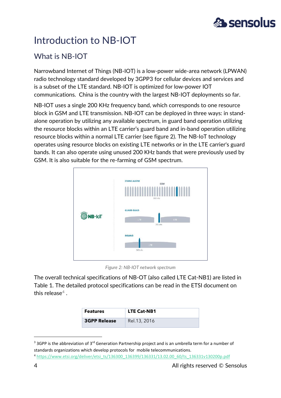

## <span id="page-4-0"></span>Introduction to NB-IOT

#### <span id="page-4-1"></span>What is NB-IOT

Narrowband Internet of Things (NB-IOT) is a low-power wide-area network (LPWAN) radio technology standard developed by 3GPP[3](#page-4-2) for cellular devices and services and is a subset of the LTE standard. NB-IOT is optimized for low-power IOT communications. China is the country with the largest NB-IOT deployments so far.

NB-IOT uses a single 200 KHz frequency band, which corresponds to one resource block in GSM and LTE transmission. NB-IOT can be deployed in three ways: in standalone operation by utilizing any available spectrum, in guard band operation utilizing the resource blocks within an LTE carrier's guard band and in-band operation utilizing resource blocks within a normal LTE carrier (see figure 2). The NB-IoT technology operates using resource blocks on existing LTE networks or in the LTE carrier's guard bands. It can also operate using unused 200 KHz bands that were previously used by GSM. It is also suitable for the re-farming of GSM spectrum.



*Figure 2: NB-IOT network spectrum*

The overall technical specifications of NB-OT (also called LTE Cat-NB1) are listed in Table 1. The detailed protocol specifications can be read in the ETSI document on this release<sup>4</sup>.

| <b>Features</b>     | <b>LTE Cat-NB1</b> |
|---------------------|--------------------|
| <b>3GPP Release</b> | Rel.13, 2016       |

<span id="page-4-2"></span><sup>&</sup>lt;sup>3</sup> 3GPP is the abbreviation of 3<sup>rd</sup> Generation Partnership project and is an umbrella term for a number of standards organizations which develop protocols for mobile telecommunications.

<span id="page-4-3"></span><sup>4</sup> [https://www.etsi.org/deliver/etsi\\_ts/136300\\_136399/136331/13.02.00\\_60/ts\\_136331v130200p.pdf](https://www.etsi.org/deliver/etsi_ts/136300_136399/136331/13.02.00_60/ts_136331v130200p.pdf)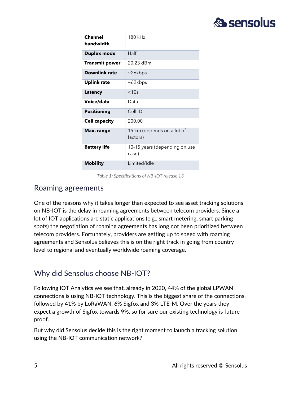

| <b>Channel</b><br>bandwidth | 180 kHz                                |
|-----------------------------|----------------------------------------|
| <b>Duplex mode</b>          | Half                                   |
| <b>Transmit power</b>       | 20,23 dBm                              |
| <b>Downlink rate</b>        | $~26$ kbps                             |
| <b>Uplink rate</b>          | $~62$ kbps                             |
| Latency                     | $<$ 10s                                |
| Voice/data                  | Data                                   |
| <b>Positioning</b>          | Cell ID                                |
| <b>Cell capacity</b>        | 200,00                                 |
| Max. range                  | 15 km (depends on a lot of<br>factors) |
| <b>Battery life</b>         | 10-15 years (depending on use<br>case) |
| <b>Mobility</b>             | Limited/Idle                           |

*Table 1: Specifications of NB-IOT release 13*

#### <span id="page-5-0"></span>Roaming agreements

One of the reasons why it takes longer than expected to see asset tracking solutions on NB-IOT is the delay in roaming agreements between telecom providers. Since a lot of IOT applications are static applications (e.g., smart metering, smart parking spots) the negotiation of roaming agreements has long not been prioritized between telecom providers. Fortunately, providers are getting up to speed with roaming agreements and Sensolus believes this is on the right track in going from country level to regional and eventually worldwide roaming coverage.

#### <span id="page-5-1"></span>Why did Sensolus choose NB-IOT?

Following IOT Analytics we see that, already in 2020, 44% of the global LPWAN connections is using NB-IOT technology. This is the biggest share of the connections, followed by 41% by LoRaWAN, 6% Sigfox and 3% LTE-M. Over the years they expect a growth of Sigfox towards 9%, so for sure our existing technology is future proof.

But why did Sensolus decide this is the right moment to launch a tracking solution using the NB-IOT communication network?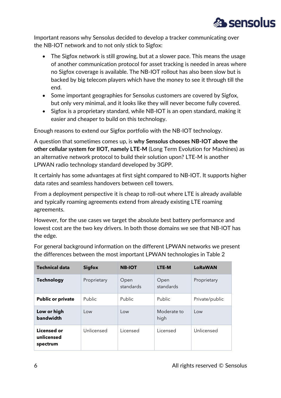

Important reasons why Sensolus decided to develop a tracker communicating over the NB-IOT network and to not only stick to Sigfox:

- The Sigfox network is still growing, but at a slower pace. This means the usage of another communication protocol for asset tracking is needed in areas where no Sigfox coverage is available. The NB-IOT rollout has also been slow but is backed by big telecom players which have the money to see it through till the end.
- Some important geographies for Sensolus customers are covered by Sigfox, but only very minimal, and it looks like they will never become fully covered.
- Sigfox is a proprietary standard, while NB-IOT is an open standard, making it easier and cheaper to build on this technology.

Enough reasons to extend our Sigfox portfolio with the NB-IOT technology.

A question that sometimes comes up, is **why Sensolus chooses NB-IOT above the other cellular system for IIOT, namely LTE-M** (Long Term Evolution for Machines) as an alternative network protocol to build their solution upon? LTE-M is another LPWAN radio technology standard developed by 3GPP.

It certainly has some advantages at first sight compared to NB-IOT. It supports higher data rates and seamless handovers between cell towers.

From a deployment perspective it is cheap to roll-out where LTE is already available and typically roaming agreements extend from already existing LTE roaming agreements.

However, for the use cases we target the absolute best battery performance and lowest cost are the two key drivers. In both those domains we see that NB-IOT has the edge.

| <b>Technical data</b>                 | <b>Sigfox</b> | <b>NB-IOT</b>     | LTE-M               | <b>LoRaWAN</b> |
|---------------------------------------|---------------|-------------------|---------------------|----------------|
| <b>Technology</b>                     | Proprietary   | Open<br>standards | Open<br>standards   | Proprietary    |
| <b>Public or private</b>              | Public        | Public            | Public              | Private/public |
| Low or high<br>bandwidth              | Low           | Low               | Moderate to<br>high | Low            |
| Licensed or<br>unlicensed<br>spectrum | Unlicensed    | Licensed          | Licensed            | Unlicensed     |

For general background information on the different LPWAN networks we present the differences between the most important LPWAN technologies in Table 2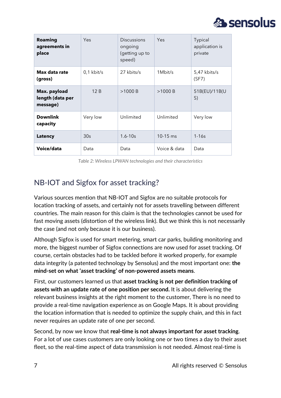

| Roaming<br>agreements in<br>place            | <b>Yes</b>      | <b>Discussions</b><br>ongoing<br>(getting up to<br>speed) | Yes          | Typical<br>application is<br>private |
|----------------------------------------------|-----------------|-----------------------------------------------------------|--------------|--------------------------------------|
| Max data rate<br>(gross)                     | $0.1$ kbit/s    | 27 kbits/s                                                | 1Mbit/s      | 5,47 kbits/s<br>(SF7)                |
| Max. payload<br>length (data per<br>message) | 12B             | >1000B                                                    | >1000B       | 51B(EU)/11B(U<br>S)                  |
| <b>Downlink</b><br>capacity                  | Very low        | Unlimited                                                 | Unlimited    | Very low                             |
| Latency                                      | 30 <sub>s</sub> | $1.6 - 10s$                                               | $10-15$ ms   | $1 - 16s$                            |
| Voice/data                                   | Data            | Data                                                      | Voice & data | Data                                 |

*Table 2: Wireless LPWAN technologies and their characteristics*

#### <span id="page-7-0"></span>NB-IOT and Sigfox for asset tracking?

Various sources mention that NB-IOT and Sigfox are no suitable protocols for location tracking of assets, and certainly not for assets travelling between different countries. The main reason for this claim is that the technologies cannot be used for fast moving assets (distortion of the wireless link). But we think this is not necessarily the case (and not only because it is our business).

Although Sigfox is used for smart metering, smart car parks, building monitoring and more, the biggest number of Sigfox connections are now used for asset tracking. Of course, certain obstacles had to be tackled before it worked properly, for example data integrity (a patented technology by Sensolus) and the most important one: **the mind-set on what 'asset tracking' of non-powered assets means**.

First, our customers learned us that **asset tracking is not per definition tracking of assets with an update rate of one position per second.** It is about delivering the relevant business insights at the right moment to the customer, There is no need to provide a real-time navigation experience as on Google Maps. It is about providing the location information that is needed to optimize the supply chain, and this in fact never requires an update rate of one per second.

Second, by now we know that **real-time is not always important for asset tracking**. For a lot of use cases customers are only looking one or two times a day to their asset fleet, so the real-time aspect of data transmission is not needed. Almost real-time is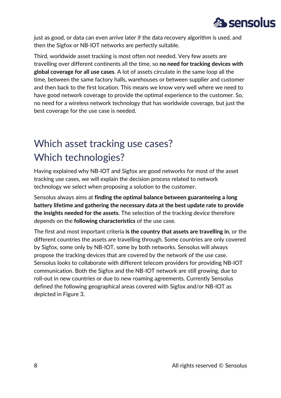

just as good, or data can even arrive later if the data recovery algorithm is used, and then the Sigfox or NB-IOT networks are perfectly suitable.

Third, worldwide asset tracking is most often not needed. Very few assets are travelling over different continents all the time, so **no need for tracking devices with global coverage for all use cases**. A lot of assets circulate in the same loop all the time, between the same factory halls, warehouses or between supplier and customer and then back to the first location. This means we know very well where we need to have good network coverage to provide the optimal experience to the customer. So, no need for a wireless network technology that has worldwide coverage, but just the best coverage for the use case is needed.

## <span id="page-8-0"></span>Which asset tracking use cases? Which technologies?

Having explained why NB-IOT and Sigfox are good networks for most of the asset tracking use cases, we will explain the decision process related to network technology we select when proposing a solution to the customer.

Sensolus always aims at **finding the optimal balance between guaranteeing a long battery lifetime and gathering the necessary data at the best update rate to provide the insights needed for the assets**. The selection of the tracking device therefore depends on the **following characteristics** of the use case.

The first and most important criteria **is the country that assets are travelling in**, or the different countries the assets are travelling through. Some countries are only covered by Sigfox, some only by NB-IOT, some by both networks. Sensolus will always propose the tracking devices that are covered by the network of the use case. Sensolus looks to collaborate with different telecom providers for providing NB-IOT communication. Both the Sigfox and the NB-IOT network are still growing, due to roll-out in new countries or due to new roaming agreements. Currently Sensolus defined the following geographical areas covered with Sigfox and/or NB-IOT as depicted in Figure 3.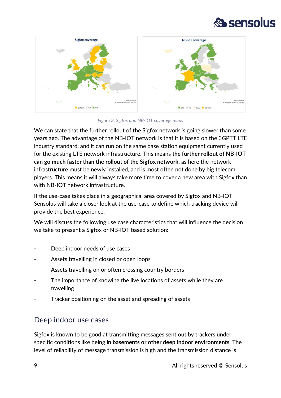



*Figure 3: Sigfox and NB-IOT coverage maps*

We can state that the further rollout of the Sigfox network is going slower than some years ago. The advantage of the NB-IOT network is that it is based on the 3GPTT LTE industry standard, and it can run on the same base station equipment currently used for the existing LTE network infrastructure. This means **the further rollout of NB-IOT can go much faster than the rollout of the Sigfox network,** as here the network infrastructure must be newly installed, and is most often not done by big telecom players. This means it will always take more time to cover a new area with Sigfox than with NB-IOT network infrastructure.

If the use-case takes place in a geographical area covered by Sigfox and NB-IOT Sensolus will take a closer look at the use-case to define which tracking device will provide the best experience.

We will discuss the following use case characteristics that will influence the decision we take to present a Sigfox or NB-IOT based solution:

- Deep indoor needs of use cases
- Assets travelling in closed or open loops
- Assets travelling on or often crossing country borders
- The importance of knowing the live locations of assets while they are travelling
- Tracker positioning on the asset and spreading of assets

#### <span id="page-9-0"></span>Deep indoor use cases

Sigfox is known to be good at transmitting messages sent out by trackers under specific conditions like being **in basements or other deep indoor environments**. The level of reliability of message transmission is high and the transmission distance is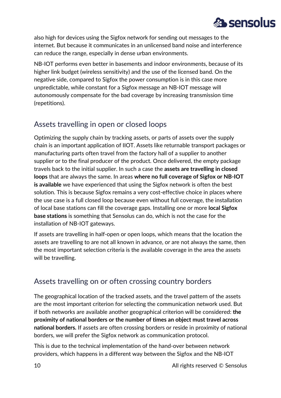

also high for devices using the Sigfox network for sending out messages to the internet. But because it communicates in an unlicensed band noise and interference can reduce the range, especially in dense urban environments.

NB-IOT performs even better in basements and indoor environments, because of its higher link budget (wireless sensitivity) and the use of the licensed band. On the negative side, compared to Sigfox the power consumption is in this case more unpredictable, while constant for a Sigfox message an NB-IOT message will autonomously compensate for the bad coverage by increasing transmission time (repetitions).

#### <span id="page-10-0"></span>Assets travelling in open or closed loops

Optimizing the supply chain by tracking assets, or parts of assets over the supply chain is an important application of IIOT. Assets like returnable transport packages or manufacturing parts often travel from the factory hall of a supplier to another supplier or to the final producer of the product. Once delivered, the empty package travels back to the initial supplier. In such a case the **assets are travelling in closed loops** that are always the same. In areas **where no full coverage of Sigfox or NB-IOT is available** we have experienced that using the Sigfox network is often the best solution. This is because Sigfox remains a very cost-effective choice in places where the use case is a full closed loop because even without full coverage, the installation of local base stations can fill the coverage gaps. Installing one or more **local Sigfox base stations** is something that Sensolus can do, which is not the case for the installation of NB-IOT gateways.

If assets are travelling in half-open or open loops, which means that the location the assets are travelling to are not all known in advance, or are not always the same, then the most important selection criteria is the available coverage in the area the assets will be travelling.

#### <span id="page-10-1"></span>Assets travelling on or often crossing country borders

The geographical location of the tracked assets, and the travel pattern of the assets are the most important criterion for selecting the communication network used. But if both networks are available another geographical criterion will be considered: **the proximity of national borders or the number of times an object must travel across national borders.** If assets are often crossing borders or reside in proximity of national borders, we will prefer the Sigfox network as communication protocol.

This is due to the technical implementation of the hand-over between network providers, which happens in a different way between the Sigfox and the NB-IOT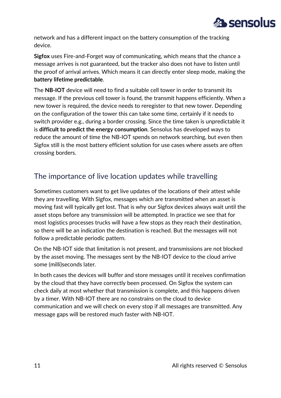

network and has a different impact on the battery consumption of the tracking device.

**Sigfox** uses Fire-and-Forget way of communicating, which means that the chance a message arrives is not guaranteed, but the tracker also does not have to listen until the proof of arrival arrives. Which means it can directly enter sleep mode, making the **battery lifetime predictable**.

The **NB-IOT** device will need to find a suitable cell tower in order to transmit its message. If the previous cell tower is found, the transmit happens efficiently. When a new tower is required, the device needs to reregister to that new tower. Depending on the configuration of the tower this can take some time, certainly if it needs to switch provider e.g., during a border crossing. Since the time taken is unpredictable it is **difficult to predict the energy consumption**. Sensolus has developed ways to reduce the amount of time the NB-IOT spends on network searching, but even then Sigfox still is the most battery efficient solution for use cases where assets are often crossing borders.

#### <span id="page-11-0"></span>The importance of live location updates while travelling

Sometimes customers want to get live updates of the locations of their attest while they are travelling. With Sigfox, messages which are transmitted when an asset is moving fast will typically get lost. That is why our Sigfox devices always wait until the asset stops before any transmission will be attempted. In practice we see that for most logistics processes trucks will have a few stops as they reach their destination, so there will be an indication the destination is reached. But the messages will not follow a predictable periodic pattern.

On the NB-IOT side that limitation is not present, and transmissions are not blocked by the asset moving. The messages sent by the NB-IOT device to the cloud arrive some (milli)seconds later.

In both cases the devices will buffer and store messages until it receives confirmation by the cloud that they have correctly been processed. On Sigfox the system can check daily at most whether that transmission is complete, and this happens driven by a timer. With NB-IOT there are no constrains on the cloud to device communication and we will check on every stop if all messages are transmitted. Any message gaps will be restored much faster with NB-IOT.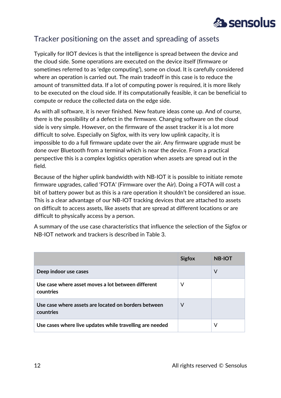

#### <span id="page-12-0"></span>Tracker positioning on the asset and spreading of assets

Typically for IIOT devices is that the intelligence is spread between the device and the cloud side. Some operations are executed on the device itself (firmware or sometimes referred to as 'edge computing'), some on cloud. It is carefully considered where an operation is carried out. The main tradeoff in this case is to reduce the amount of transmitted data. If a lot of computing power is required, it is more likely to be executed on the cloud side. If its computationally feasible, it can be beneficial to compute or reduce the collected data on the edge side.

As with all software, it is never finished. New feature ideas come up. And of course, there is the possibility of a defect in the firmware. Changing software on the cloud side is very simple. However, on the firmware of the asset tracker it is a lot more difficult to solve. Especially on Sigfox, with its very low uplink capacity, it is impossible to do a full firmware update over the air. Any firmware upgrade must be done over Bluetooth from a terminal which is near the device. From a practical perspective this is a complex logistics operation when assets are spread out in the field.

Because of the higher uplink bandwidth with NB-IOT it is possible to initiate remote firmware upgrades, called 'FOTA' (Firmware over the Air). Doing a FOTA will cost a bit of battery power but as this is a rare operation it shouldn't be considered an issue. This is a clear advantage of our NB-IOT tracking devices that are attached to assets on difficult to access assets, like assets that are spread at different locations or are difficult to physically access by a person.

A summary of the use case characteristics that influence the selection of the Sigfox or NB-IOT network and trackers is described in Table 3.

|                                                                   | <b>Sigfox</b> | <b>NB-IOT</b> |
|-------------------------------------------------------------------|---------------|---------------|
| Deep indoor use cases                                             |               | V             |
| Use case where asset moves a lot between different<br>countries   | V             |               |
| Use case where assets are located on borders between<br>countries | V             |               |
| Use cases where live updates while travelling are needed          |               | V             |